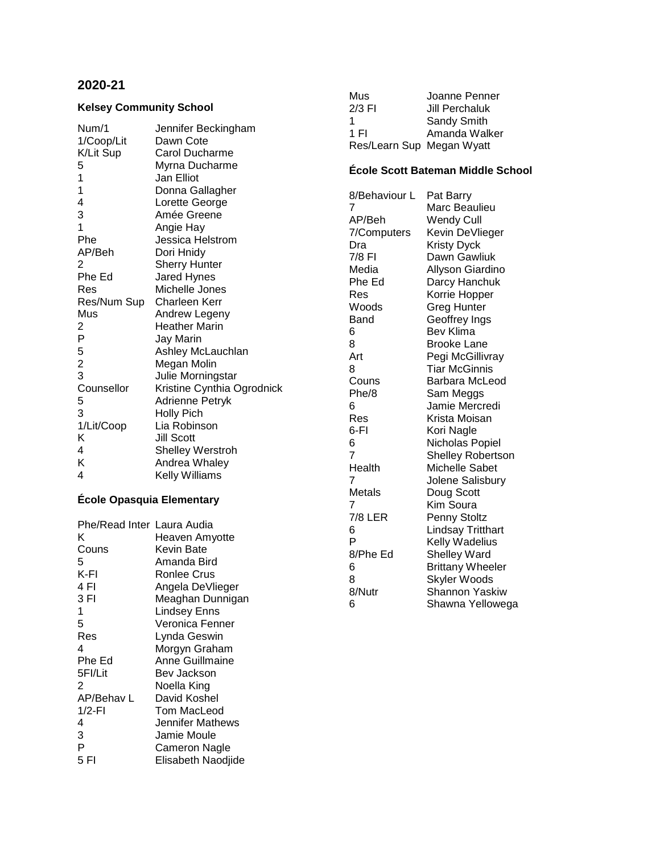# **2020-21**

## **Kelsey Community School**

| Num/1                   | Jennifer Beckingham        |
|-------------------------|----------------------------|
| 1/Coop/Lit              | Dawn Cote                  |
| K/Lit Sup               | <b>Carol Ducharme</b>      |
| 5                       | Myrna Ducharme             |
| $\mathbf 1$             | Jan Elliot                 |
| $\mathbf{1}$            | Donna Gallagher            |
| $\overline{\mathbf{4}}$ | Lorette George             |
| 3                       | Amée Greene                |
| 1                       | Angie Hay                  |
| Phe                     | Jessica Helstrom           |
| AP/Beh                  | Dori Hnidy                 |
| 2                       | <b>Sherry Hunter</b>       |
| Phe Ed                  | Jared Hynes                |
| Res                     | Michelle Jones             |
| Res/Num Sup             | Charleen Kerr              |
| Mus                     | Andrew Legeny              |
| 2                       | <b>Heather Marin</b>       |
| P                       | Jay Marin                  |
| 5                       | Ashley McLauchlan          |
| $\frac{2}{3}$           | Megan Molin                |
|                         | Julie Morningstar          |
| Counsellor              | Kristine Cynthia Ogrodnick |
| 5                       | Adrienne Petryk            |
| 3                       | <b>Holly Pich</b>          |
| 1/Lit/Coop              | Lia Robinson               |
| Κ                       | <b>Jill Scott</b>          |
| 4                       | <b>Shelley Werstroh</b>    |
| ĸ                       | Andrea Whaley              |
| 4                       | Kelly Williams             |

# **École Opasquia Elementary**

| Phe/Read Inter Laura Audia |
|----------------------------|
| Heaven Amyotte             |
| Kevin Bate                 |
| Amanda Bird                |
| Ronlee Crus                |
| Angela DeVlieger           |
| Meaghan Dunnigan           |
| <b>Lindsey Enns</b>        |
| Veronica Fenner            |
| Lynda Geswin               |
| Morgyn Graham              |
| Anne Guillmaine            |
| Bev Jackson                |
| Noella King                |
| David Koshel               |
| Tom MacLeod                |
| Jennifer Mathews           |
| Jamie Moule                |
| Cameron Nagle              |
| Elisabeth Naodjide         |
|                            |

| Mus                       | Joanne Penner         |
|---------------------------|-----------------------|
| $2/3$ FI                  | <b>Jill Perchaluk</b> |
| 1                         | Sandy Smith           |
| 1 FI                      | Amanda Walker         |
| Res/Learn Sup Megan Wyatt |                       |

## **École Scott Bateman Middle School**

| 8/Behaviour L | Pat Barry               |
|---------------|-------------------------|
| 7             | Marc Beaulieu           |
| AP/Beh        | <b>Wendy Cull</b>       |
| 7/Computers   | Kevin DeVlieger         |
| Dra           | <b>Kristy Dyck</b>      |
| 7/8 FI        | Dawn Gawliuk            |
| Media         | Allyson Giardino        |
| Phe Ed        | Darcy Hanchuk           |
| Res           | Korrie Hopper           |
| Woods         | <b>Greg Hunter</b>      |
| Band          | Geoffrey Ings           |
| 6             | Bev Klima               |
| 8             | Brooke Lane             |
| Art           | Pegi McGillivray        |
| 8             | Tiar McGinnis           |
| Couns         | Barbara McLeod          |
| Phe/8         | Sam Meggs               |
| 6             | Jamie Mercredi          |
| Res           | Krista Moisan           |
| 6-FI          | Kori Nagle              |
| 6             | Nicholas Popiel         |
| 7             | Shelley Robertson       |
| Health        | <b>Michelle Sabet</b>   |
| 7             | Jolene Salisbury        |
| Metals        | Doug Scott              |
| 7             | Kim Soura               |
| 7/8 LER       | Penny Stoltz            |
| 6             | Lindsay Tritthart       |
| P             | Kelly Wadelius          |
| 8/Phe Ed      | <b>Shelley Ward</b>     |
| 6             | <b>Brittany Wheeler</b> |
| 8             | Skyler Woods            |
| 8/Nutr        | Shannon Yaskiw          |
| 6             | Shawna Yellowega        |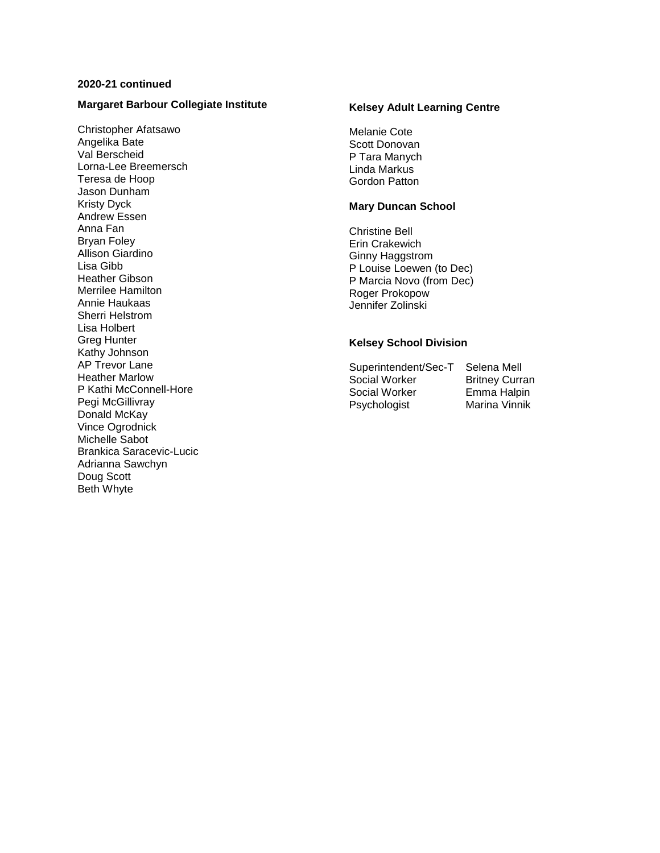## **2020-21 continued**

### **Margaret Barbour Collegiate Institute**

Christopher Afatsawo Angelika Bate Val Berscheid Lorna-Lee Breemersch Teresa de Hoop Jason Dunham Kristy Dyck Andrew Essen Anna Fan Bryan Foley Allison Giardino Lisa Gibb Heather Gibson Merrilee Hamilton Annie Haukaas Sherri Helstrom Lisa Holbert Greg Hunter Kathy Johnson AP Trevor Lane Heather Marlow P Kathi McConnell-Hore Pegi McGillivray Donald McKay Vince Ogrodnick Michelle Sabot Brankica Saracevic-Lucic Adrianna Sawchyn Doug Scott Beth Whyte

## **Kelsey Adult Learning Centre**

Melanie Cote Scott Donovan P Tara Manych Linda Markus Gordon Patton

#### **Mary Duncan School**

Christine Bell Erin Crakewich Ginny Haggstrom P Louise Loewen (to Dec) P Marcia Novo (from Dec) Roger Prokopow Jennifer Zolinski

### **Kelsey School Division**

Superintendent/Sec-T Selena Mell<br>Social Worker Britney Curran Social Worker Social Worker Emma Halpin Psychologist Marina Vinnik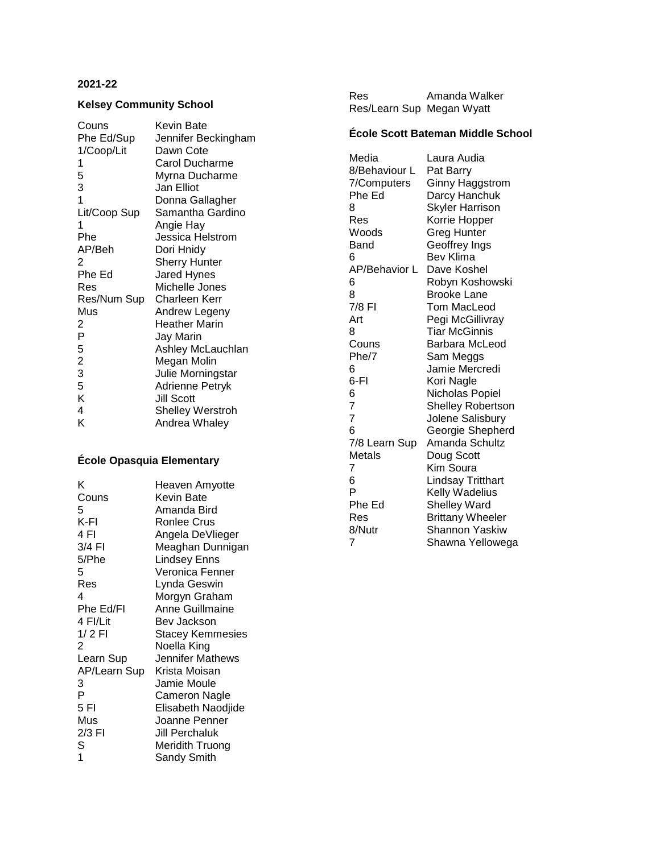#### **202 1 - 2 2**

## **Kelsey Community School**

| Kevin Bate              |
|-------------------------|
| Jennifer Beckingham     |
| Dawn Cote               |
| Carol Ducharme          |
| Myrna Ducharme          |
| Jan Elliot              |
| Donna Gallagher         |
| Samantha Gardino        |
| Angie Hay               |
| Jessica Helstrom        |
| Dori Hnidy              |
| <b>Sherry Hunter</b>    |
| Jared Hynes             |
| Michelle Jones          |
| Charleen Kerr           |
| Andrew Legeny           |
| <b>Heather Marin</b>    |
| Jay Marin               |
| Ashley McLauchlan       |
| Megan Molin             |
| Julie Morningstar       |
| <b>Adrienne Petryk</b>  |
| <b>Jill Scott</b>       |
| <b>Shelley Werstroh</b> |
| Andrea Whaley           |
|                         |

# **École Opasquia Elementary**

| κ            | Heaven Amyotte          |
|--------------|-------------------------|
| Couns        | Kevin Bate              |
| 5            | Amanda Bird             |
| K-FI         | <b>Ronlee Crus</b>      |
| 4 FI         | Angela DeVlieger        |
| 3/4 FI       | Meaghan Dunnigan        |
| 5/Phe        | Lindsey Enns            |
| 5            | Veronica Fenner         |
| Res          | Lynda Geswin            |
| 4            | Morgyn Graham           |
| Phe Ed/FI    | <b>Anne Guillmaine</b>  |
| 4 FI/Lit     | Bev Jackson             |
| $1/2$ FI     | <b>Stacey Kemmesies</b> |
| 2            | Noella King             |
| Learn Sup    | Jennifer Mathews        |
| AP/Learn Sup | Krista Moisan           |
| 3            | Jamie Moule             |
| P            | Cameron Nagle           |
| 5FI          | Elisabeth Naodjide      |
| Mus          | Joanne Penner           |
| 2/3 FI       | Jill Perchaluk          |
| S            | Meridith Truong         |
| 1            | Sandy Smith             |

| <b>Res</b>                | Amanda Walker |
|---------------------------|---------------|
| Res/Learn Sup Megan Wyatt |               |

# **École Scott Bateman Middle School**

| Media          | Laura Audia              |
|----------------|--------------------------|
| 8/Behaviour L  | Pat Barry                |
| 7/Computers    | Ginny Haggstrom          |
| Phe Ed         | Darcy Hanchuk            |
| 8              | <b>Skyler Harrison</b>   |
| Res            | Korrie Hopper            |
| Woods          | Greg Hunter              |
| Band           | Geoffrey Ings            |
| 6              | Bev Klima                |
| AP/Behavior L  | Dave Koshel              |
| 6              | Robyn Koshowski          |
| 8              | <b>Brooke Lane</b>       |
| 7/8 FI         | Tom MacLeod              |
| Art            | Pegi McGillivray         |
| 8              | Tiar McGinnis            |
| Couns          | Barbara McLeod           |
| Phe/7          | Sam Meggs                |
| 6              | Jamie Mercredi           |
| 6-FI           | Kori Nagle               |
| 6              | Nicholas Popiel          |
| $\overline{7}$ | <b>Shelley Robertson</b> |
| $\overline{7}$ | Jolene Salisbury         |
| 6              | Georgie Shepherd         |
| 7/8 Learn Sup  | Amanda Schultz           |
| Metals         | Doug Scott               |
| 7              | Kim Soura                |
| 6              | Lindsay Tritthart        |
| P              | Kelly Wadelius           |
| Phe Ed         | Shelley Ward             |
| Res            | <b>Brittany Wheeler</b>  |
| 8/Nutr         | Shannon Yaskiw           |
| 7              | Shawna Yellowega         |